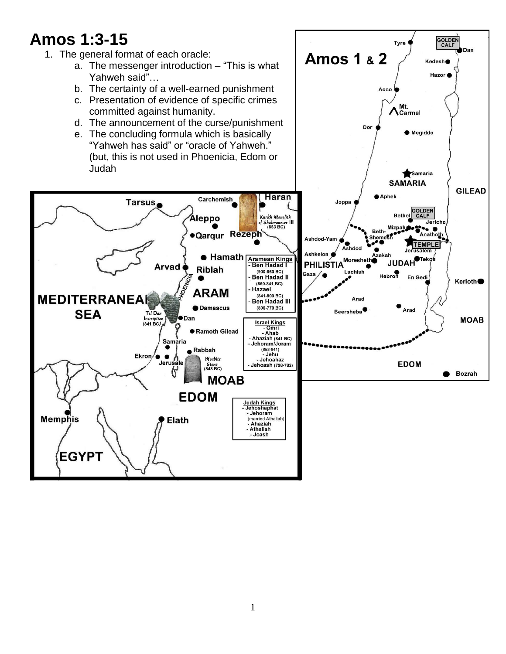# **Amos 1:3-15**

**Memphis** 

**EGYPT** 

- 1. The general format of each oracle:
	- a. The messenger introduction "This is what Yahweh said"…
	- b. The certainty of a well-earned punishment
	- c. Presentation of evidence of specific crimes committed against humanity.
	- d. The announcement of the curse/punishment
	- e. The concluding formula which is basically "Yahweh has said" or "oracle of Yahweh." Judah

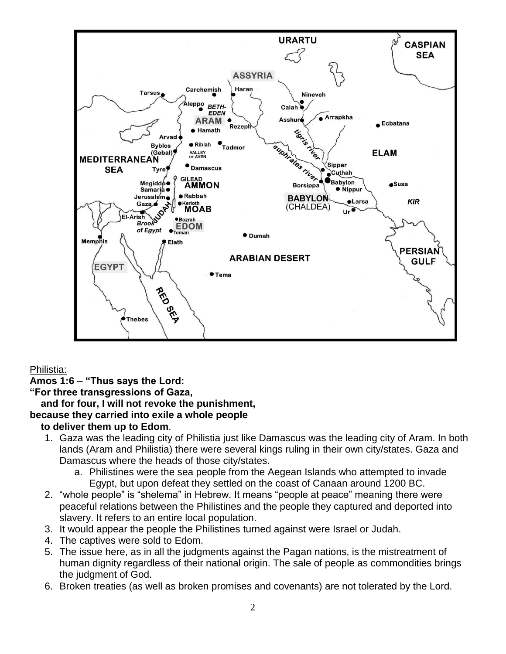

# Philistia:

# **Amos 1:6** – **"Thus says the Lord:**

# **"For three transgressions of Gaza,**

# **and for four, I will not revoke the punishment,**

# **because they carried into exile a whole people**

# **to deliver them up to Edom**.

- 1. Gaza was the leading city of Philistia just like Damascus was the leading city of Aram. In both lands (Aram and Philistia) there were several kings ruling in their own city/states. Gaza and Damascus where the heads of those city/states.
	- a. Philistines were the sea people from the Aegean Islands who attempted to invade Egypt, but upon defeat they settled on the coast of Canaan around 1200 BC.
- 2. "whole people" is "shelema" in Hebrew. It means "people at peace" meaning there were peaceful relations between the Philistines and the people they captured and deported into slavery. It refers to an entire local population.
- 3. It would appear the people the Philistines turned against were Israel or Judah.
- 4. The captives were sold to Edom.
- 5. The issue here, as in all the judgments against the Pagan nations, is the mistreatment of human dignity regardless of their national origin. The sale of people as commondities brings the judgment of God.
- 6. Broken treaties (as well as broken promises and covenants) are not tolerated by the Lord.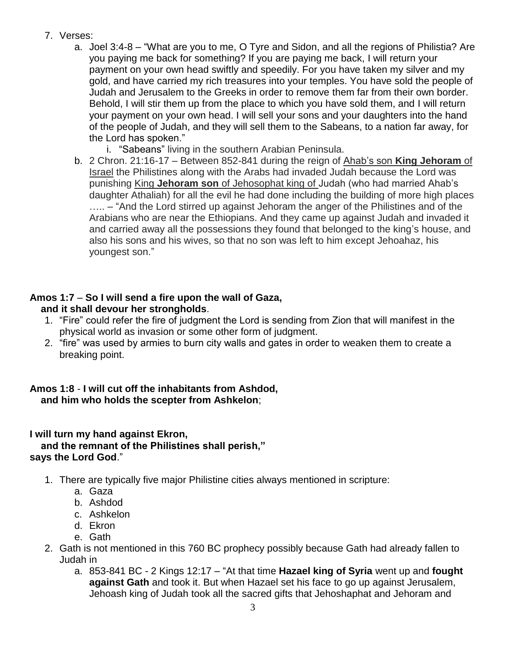- 7. Verses:
	- a. Joel 3:4-8 "What are you to me, O Tyre and Sidon, and all the regions of Philistia? Are you paying me back for something? If you are paying me back, I will return your payment on your own head swiftly and speedily. For you have taken my silver and my gold, and have carried my rich treasures into your temples. You have sold the people of Judah and Jerusalem to the Greeks in order to remove them far from their own border. Behold, I will stir them up from the place to which you have sold them, and I will return your payment on your own head. I will sell your sons and your daughters into the hand of the people of Judah, and they will sell them to the Sabeans, to a nation far away, for the Lord has spoken."
		- i. "Sabeans" living in the southern Arabian Peninsula.
	- b. 2 Chron. 21:16-17 Between 852-841 during the reign of Ahab's son **King Jehoram** of Israel the Philistines along with the Arabs had invaded Judah because the Lord was punishing King **Jehoram son** of Jehosophat king of Judah (who had married Ahab's daughter Athaliah) for all the evil he had done including the building of more high places ….. – "And the Lord stirred up against Jehoram the anger of the Philistines and of the Arabians who are near the Ethiopians. And they came up against Judah and invaded it and carried away all the possessions they found that belonged to the king's house, and also his sons and his wives, so that no son was left to him except Jehoahaz, his youngest son."

#### **Amos 1:7** – **So I will send a fire upon the wall of Gaza, and it shall devour her strongholds**.

- 1. "Fire" could refer the fire of judgment the Lord is sending from Zion that will manifest in the physical world as invasion or some other form of judgment.
- 2. "fire" was used by armies to burn city walls and gates in order to weaken them to create a breaking point.

# **Amos 1:8** - **I will cut off the inhabitants from Ashdod, and him who holds the scepter from Ashkelon**;

# **I will turn my hand against Ekron, and the remnant of the Philistines shall perish," says the Lord God**."

- 1. There are typically five major Philistine cities always mentioned in scripture:
	- a. Gaza
	- b. Ashdod
	- c. Ashkelon
	- d. Ekron
	- e. Gath
- 2. Gath is not mentioned in this 760 BC prophecy possibly because Gath had already fallen to Judah in
	- a. 853-841 BC 2 Kings 12:17 "At that time **Hazael king of Syria** went up and **fought against Gath** and took it. But when Hazael set his face to go up against Jerusalem, Jehoash king of Judah took all the sacred gifts that Jehoshaphat and Jehoram and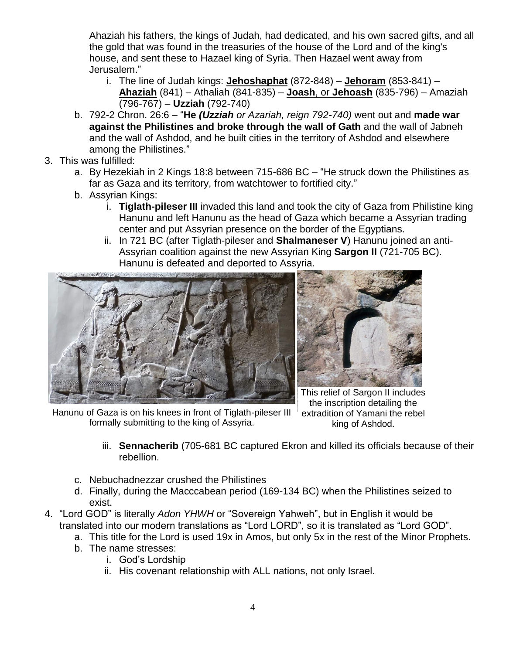Ahaziah his fathers, the kings of Judah, had dedicated, and his own sacred gifts, and all the gold that was found in the treasuries of the house of the Lord and of the king's house, and sent these to Hazael king of Syria. Then Hazael went away from Jerusalem."

- i. The line of Judah kings: **Jehoshaphat** (872-848) **Jehoram** (853-841) **Ahaziah** (841) – Athaliah (841-835) – **Joash**, or **Jehoash** (835-796) – Amaziah (796-767) – **Uzziah** (792-740)
- b. 792-2 Chron. 26:6 "**He** *(Uzziah or Azariah, reign 792-740)* went out and **made war against the Philistines and broke through the wall of Gath** and the wall of Jabneh and the wall of Ashdod, and he built cities in the territory of Ashdod and elsewhere among the Philistines."
- 3. This was fulfilled:
	- a. By Hezekiah in 2 Kings 18:8 between 715-686 BC "He struck down the Philistines as far as Gaza and its territory, from watchtower to fortified city."
	- b. Assyrian Kings:
		- i. **Tiglath-pileser III** invaded this land and took the city of Gaza from Philistine king Hanunu and left Hanunu as the head of Gaza which became a Assyrian trading center and put Assyrian presence on the border of the Egyptians.
		- ii. In 721 BC (after Tiglath-pileser and **Shalmaneser V**) Hanunu joined an anti-Assyrian coalition against the new Assyrian King **Sargon II** (721-705 BC). Hanunu is defeated and deported to Assyria.





This relief of Sargon II includes the inscription detailing the extradition of Yamani the rebel king of Ashdod.

Hanunu of Gaza is on his knees in front of Tiglath-pileser III formally submitting to the king of Assyria.

- iii. **Sennacherib** (705-681 BC captured Ekron and killed its officials because of their rebellion.
- c. Nebuchadnezzar crushed the Philistines
- d. Finally, during the Macccabean period (169-134 BC) when the Philistines seized to exist.
- 4. "Lord GOD" is literally *Adon YHWH* or "Sovereign Yahweh", but in English it would be translated into our modern translations as "Lord LORD", so it is translated as "Lord GOD".
	- a. This title for the Lord is used 19x in Amos, but only 5x in the rest of the Minor Prophets.
	- b. The name stresses:
		- i. God's Lordship
		- ii. His covenant relationship with ALL nations, not only Israel.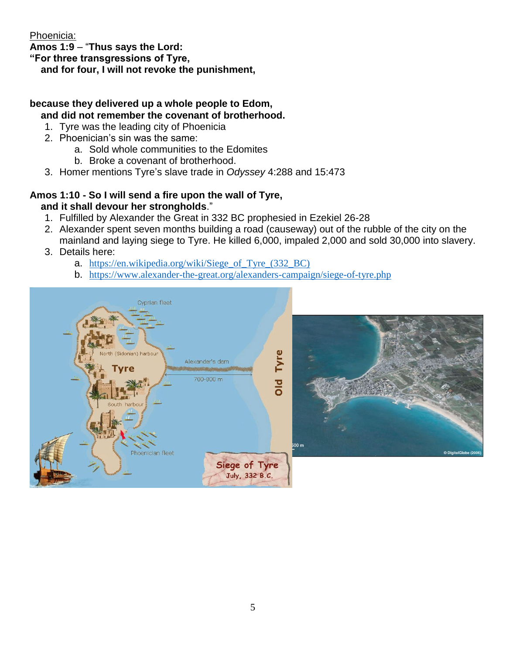Phoenicia:

**Amos 1:9** – "**Thus says the Lord:**

**"For three transgressions of Tyre,**

 **and for four, I will not revoke the punishment,**

# **because they delivered up a whole people to Edom, and did not remember the covenant of brotherhood.**

- 1. Tyre was the leading city of Phoenicia
- 2. Phoenician's sin was the same:
	- a. Sold whole communities to the Edomites
	- b. Broke a covenant of brotherhood.
- 3. Homer mentions Tyre's slave trade in *Odyssey* 4:288 and 15:473

# **Amos 1:10 - So I will send a fire upon the wall of Tyre,**

# **and it shall devour her strongholds**."

- 1. Fulfilled by Alexander the Great in 332 BC prophesied in Ezekiel 26-28
- 2. Alexander spent seven months building a road (causeway) out of the rubble of the city on the mainland and laying siege to Tyre. He killed 6,000, impaled 2,000 and sold 30,000 into slavery.
- 3. Details here:
	- a. [https://en.wikipedia.org/wiki/Siege\\_of\\_Tyre\\_\(332\\_BC\)](https://en.wikipedia.org/wiki/Siege_of_Tyre_(332_BC))
	- b. <https://www.alexander-the-great.org/alexanders-campaign/siege-of-tyre.php>

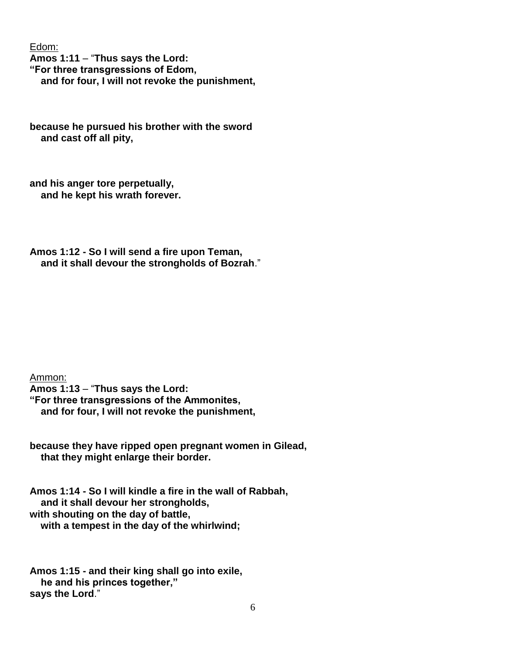Edom:

**Amos 1:11** – "**Thus says the Lord: "For three transgressions of Edom, and for four, I will not revoke the punishment,**

**because he pursued his brother with the sword and cast off all pity,**

**and his anger tore perpetually, and he kept his wrath forever.**

**Amos 1:12 - So I will send a fire upon Teman, and it shall devour the strongholds of Bozrah**."

Ammon:

**Amos 1:13** – "**Thus says the Lord: "For three transgressions of the Ammonites,**

 **and for four, I will not revoke the punishment,**

**because they have ripped open pregnant women in Gilead, that they might enlarge their border.**

**Amos 1:14 - So I will kindle a fire in the wall of Rabbah, and it shall devour her strongholds, with shouting on the day of battle, with a tempest in the day of the whirlwind;**

**Amos 1:15 - and their king shall go into exile, he and his princes together," says the Lord**."